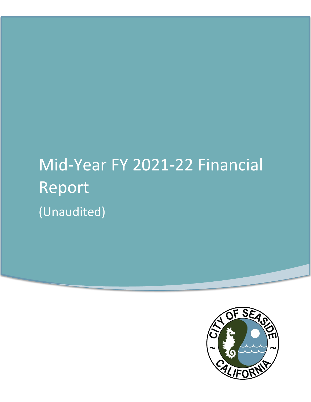# Mid-Year FY 2021-22 Financial Report (Unaudited)

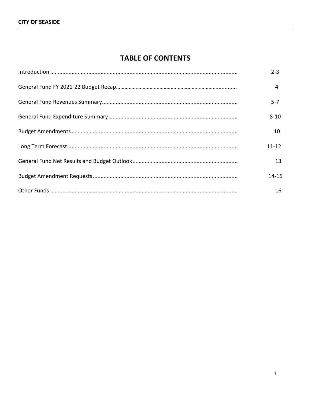## **TABLE OF CONTENTS**

| $2 - 3$   |
|-----------|
| 4         |
| 5-7       |
| $8 - 10$  |
| 10        |
| $11 - 12$ |
| 13        |
| $14 - 15$ |
| 16        |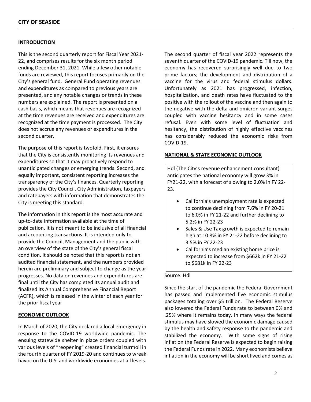#### **INTRODUCTION**

This is the second quarterly report for Fiscal Year 2021- 22, and comprises results for the six month period ending December 31, 2021. While a few other notable funds are reviewed, this report focuses primarily on the City's general fund. General Fund operating revenues and expenditures as compared to previous years are presented, and any notable changes or trends in these numbers are explained. The report is presented on a cash basis, which means that revenues are recognized at the time revenues are received and expenditures are recognized at the time payment is processed. The City does not accrue any revenues or expenditures in the second quarter.

The purpose of this report is twofold. First, it ensures that the City is consistently monitoring its revenues and expenditures so that it may proactively respond to unanticipated changes or emerging trends. Second, and equally important, consistent reporting increases the transparency of the City's finances. Quarterly reporting provides the City Council, City Administration, taxpayers and ratepayers with information that demonstrates the City is meeting this standard.

The information in this report is the most accurate and up-to-date information available at the time of publication. It is not meant to be inclusive of all financial and accounting transactions. It is intended only to provide the Council, Management and the public with an overview of the state of the City's general fiscal condition. It should be noted that this report is not an audited financial statement, and the numbers provided herein are preliminary and subject to change as the year progresses. No data on revenues and expenditures are final until the City has completed its annual audit and finalized its Annual Comprehensive Financial Report (ACFR), which is released in the winter of each year for the prior fiscal year

#### **ECONOMIC OUTLOOK**

In March of 2020, the City declared a local emergency in response to the COVID-19 worldwide pandemic. The ensuing statewide shelter in place orders coupled with various levels of "reopening" created financial turmoil in the fourth quarter of FY 2019-20 and continues to wreak havoc on the U.S. and worldwide economies at all levels.

The second quarter of fiscal year 2022 represents the seventh quarter of the COVID-19 pandemic. Till now, the economy has recovered surprisingly well due to two prime factors; the development and distribution of a vaccine for the virus and federal stimulus dollars. Unfortunately as 2021 has progressed, infection, hospitalization, and death rates have fluctuated to the positive with the rollout of the vaccine and then again to the negative with the delta and omicron variant surges coupled with vaccine hesitancy and in some cases refusal. Even with some level of fluctuation and hesitancy, the distribution of highly effective vaccines has considerably reduced the economic risks from COVID-19.

#### **NATIONAL & STATE ECONOMIC OUTLOOK**

Hdl (The City's revenue enhancement consultant) anticipates the national economy will grow 3% in FY21-22, with a forecast of slowing to 2.0% in FY 22- 23.

- California's unemployment rate is expected to continue declining from 7.6% in FY 20-21 to 6.0% in FY 21-22 and further declining to 5.2% in FY 22-23
- Sales & Use Tax growth is expected to remain high at 10.8% in FY 21-22 before declining to 3.5% in FY 22-23
- California's median existing home price is expected to increase from \$662k in FY 21-22 to \$681k in FY 22-23

#### Source: Hdl

Since the start of the pandemic the Federal Government has passed and implemented five economic stimulus packages totaling over \$5 trillion. The Federal Reserve also lowered the Federal Funds rate to between 0% and .25% where it remains today. In many ways the federal stimulus may have slowed the economic damage caused by the health and safety response to the pandemic and stabilized the economy. With some signs of rising inflation the Federal Reserve is expected to begin raising the Federal Funds rate in 2022. Many economists believe inflation in the economy will be short lived and comes as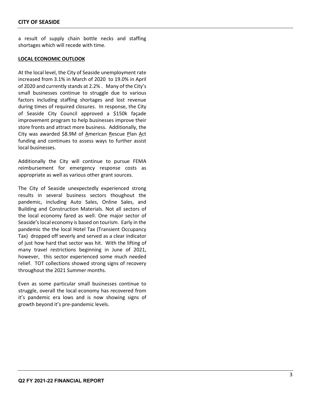a result of supply chain bottle necks and staffing shortages which will recede with time.

#### **LOCAL ECONOMIC OUTLOOK**

At the local level, the City of Seaside unemployment rate increased from 3.1% in March of 2020 to 19.0 % in April of 2020 and currently stands at 2.2 % . Many of the City's small businesses continue to struggle due to various factors including staffing shortages and lost revenue during times of required closures. In response, the City of Seaside City Council approved a \$150k façade improvement program to help businesses improve their store fronts and attract more business. Additionally, the City was awarded \$8.9M of American Rescue Plan Act funding and continues to assess ways to further assist local businesses.

Additionally the City will continue to pursue FEMA reimbursem ent for emergency response costs as appropriate as well as various other grant sources.

The City of Seaside unexpectedly experienced strong results in several business sectors thoughout the pandemic, including Auto Sales, Online Sales, and Building and Construction Materials. Not all sectors of the local economy fared as well. One major sector of Seaside's local economy is based on tourism. Early in the pandemic the the local Hotel Tax (Transient Occupancy Tax) dropped off severly and served as a clear indicator of just how hard that sector was hit . With the lifting of many travel restrictions beginning in June of 2021, however, this sector experienced some much needed relief. TOT collections showed strong signs of recovery throughout the 2021 Summer months.

Even as some particular small businesses continue to struggle, overall the local economy has recovered from it's pandemic era lows and is now showing signs of growth beyond it's pre -pandemic levels.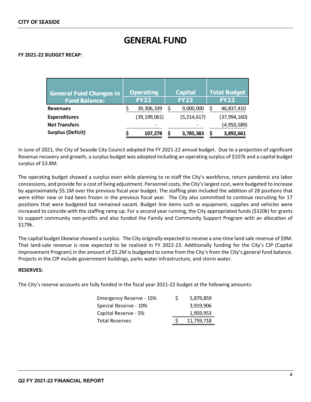## **GENERAL FUND**

#### **FY 2021-22 BUDGET RECAP**:

| <b>General Fund Changes in</b><br><b>Fund Balance:</b> | <b>Operating</b><br><b>FY22</b> | <b>Capital</b><br><b>FY22</b> | <b>Total Budget</b><br><b>FY22</b> |
|--------------------------------------------------------|---------------------------------|-------------------------------|------------------------------------|
| <b>Revenues</b>                                        | 39,306,339                      | 9,000,000                     | 46,837,410                         |
| <b>Expenditures</b>                                    | (39, 199, 061)                  | (5, 214, 617)                 | (37,994,160)                       |
| <b>Net Transfers</b>                                   |                                 |                               | (4,950,589)                        |
| <b>Surplus (Deficit)</b>                               | 107,278                         | 3,785,383                     | 3,892,661                          |

In June of 2021, the City of Seaside City Council adopted the FY 2021-22 annual budget. Due to a projection of significant Revenue recovery and growth, a surplus budget was adopted including an operating surplus of \$107k and a capital budget surplus of \$3.8M.

The operating budget showed a surplus even while planning to re-staff the City's workforce, return pandemic era labor concessions, and provide for a cost of living adjustment. Personnel costs, the City's largest cost, were budgeted to increase by approximately \$5.1M over the previous fiscal year budget. The staffing plan included the addition of 28 positions that were either new or had been frozen in the previous fiscal year. The City also committed to continue recruiting for 17 positions that were budgeted but remained vacant. Budget line items such as equipment, supplies and vehicles were increased to coincide with the staffing ramp up. For a second year running, the City appropriated funds (\$320k) for grants to support community non-profits and also funded the Family and Community Support Program with an allocation of \$179k.

The capital budget likewise showed a surplus. The City originally expected to receive a one-time land sale revenue of \$9M. That land-sale revenue is now expected to be realized in FY 2022-23. Additionally funding for the City's CIP (Capital Improvement Program) in the amount of \$5.2M is budgeted to come from the City's from the City's general fund balance. Projects in the CIP include government buildings, parks water infrastructure, and storm water.

#### **RESERVES:**

The City's reserve accounts are fully funded in the fiscal year 2021-22 budget at the following amounts:

| Emergency Reserve - 15% | S | 5,879,859  |
|-------------------------|---|------------|
| Special Reserve - 10%   |   | 3,919,906  |
| Capital Reserve - 5%    |   | 1,959,953  |
| <b>Total Reserves</b>   |   | 11,759,718 |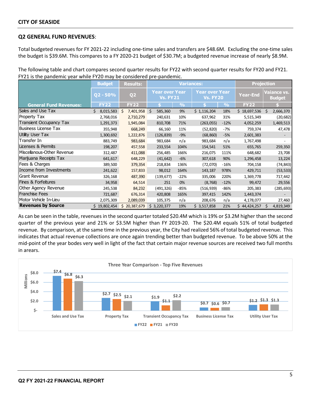#### **Q2 GENERAL FUND REVENUES**:

Total budgeted revenues for FY 2021-22 including one-time sales and transfers are \$48.6M. Excluding the one-time sales the budget is \$39.6M. This compares to a FY 2020-21 budget of \$30.7M; a budgeted revenue increase of nearly \$8.9M.

The following table and chart compares second quarter results for FY22 with second quarter results for FY20 and FY21. FY21 is the pandemic year while FY20 may be considered pre-pandemic.

|                                | <b>Budget</b>   | <b>Results:</b> |                                          | <b>Variances:</b> |                                          |                 |              |                              | <b>Projection</b> |  |  |
|--------------------------------|-----------------|-----------------|------------------------------------------|-------------------|------------------------------------------|-----------------|--------------|------------------------------|-------------------|--|--|
|                                | $Q2 - 50%$      | Q <sub>2</sub>  | <b>Year over Year</b><br><b>Vs. FY21</b> |                   | <b>Year over Year</b><br><b>Vs. FY20</b> | <b>Year-End</b> |              | /aiance vs.<br><b>Budget</b> |                   |  |  |
| <b>General Fund Revenues:</b>  | <b>FY22</b>     | <b>FY22</b>     |                                          | $\frac{9}{6}$     |                                          | $\frac{9}{6}$   | <b>FY22</b>  |                              |                   |  |  |
| Sales and Use Tax              | Ś.<br>8,015,583 | Ŝ.<br>7,401,958 | Ŝ.<br>585,360                            | 9%                | \$1,116,204                              | 18%             | \$18,697,536 | $\leq$                       | 2,666,370         |  |  |
| Property Tax                   | 2,768,016       | 2,710,279       | 240,631                                  | 10%               | 637,962                                  | 31%             | 5,515,349    |                              | (20, 682)         |  |  |
| <b>Transient Occupancy Tax</b> | 1,291,373       | 1,945,084       | 810,708                                  | 71%               | (263, 055)                               | $-12%$          | 4,052,259    |                              | 1,469,513         |  |  |
| Business License Tax           | 355,948         | 668,249         | 66,160                                   | 11%               | (52, 820)                                | $-7%$           | 759,374      |                              | 47,478            |  |  |
| Utility User Tax               | 1,300,692       | 1,222,876       | (126, 839)                               | $-9%$             | (68, 860)                                | $-5%$           | 2,601,383    |                              |                   |  |  |
| Transfer In                    | 883,749         | 983,684         | 983,684                                  | n/a               | 983,684                                  | n/a             | 1,767,498    |                              |                   |  |  |
| Licenses & Permits             | 198,207         | 457,558         | 233,554                                  | 104%              | 154,541                                  | 51%             | 655,765      |                              | 259,350           |  |  |
| Miscellanous-Other Revenue     | 312,487         | 411,088         | 256,485                                  | 166%              | 216,075                                  | 111%            | 648,682      |                              | 23,708            |  |  |
| Marijuana Receipts Tax         | 641,617         | 648,229         | (41, 642)                                | $-6%$             | 307,618                                  | 90%             | 1,296,458    |                              | 13,224            |  |  |
| Fees & Charges                 | 389,500         | 379,354         | 218,834                                  | 136%              | (72,070)                                 | $-16%$          | 704,158      |                              | (74, 843)         |  |  |
| Income from Investments        | 241,622         | 157,833         | 98,012                                   | 164%              | 143,187                                  | 978%            | 429,711      |                              | (53, 533)         |  |  |
| Grant Revenue                  | 326,168         | 487,390         | (139, 677)                               | $-22%$            | 335,006                                  | 220%            | 1,369,778    |                              | 717,442           |  |  |
| <b>Fines &amp; Forfeitures</b> | 34,958          | 64,514          | 251                                      | 0%                | (8, 768)                                 | $-12%$          | 99,472       |                              | 29,556            |  |  |
| Other Agency Revenue           | 245,538         | 84,232          | (491, 326)                               | $-85%$            | (516, 939)                               | -86%            | 205,383      |                              | (285, 693)        |  |  |
| Franchise Fees                 | 721,687         | 676,314         | 420,808                                  | 165%              | 397,415                                  | 142%            | 1,443,374    |                              |                   |  |  |
| Motor Vehicle In-Lieu          | 2,075,309       | 2,089,039       | 105,375                                  | n/a               | 208,676                                  | n/a             | 4,178,077    |                              | 27,460            |  |  |
| <b>Revenues by Source</b>      | 19,802,454      | \$20,387,679    | \$3,220,377                              | 19%               | \$3,517,858                              | 21%             | \$44,424,257 |                              | 4,819,349         |  |  |

As can be seen in the table, revenues in the second quarter totaled \$20.4M which is 19% or \$3.2M higher than the second quarter of the previous year and 21% or \$3.5M higher than FY 2019-20. The \$20.4M equals 51% of total budgeted revenue. By comparison, at the same time in the previous year, the City had realized 56% of total budgeted revenue. This indicates that actual revenue collections are once again trending better than budgeted revenue. To be above 50% at the mid-point of the year bodes very well in light of the fact that certain major revenue sources are received two full months in arears.

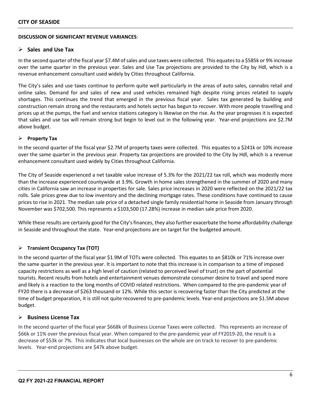#### **DISCUSSION OF SIGNIFICANT REVENUE VARIANCES**:

#### **Sales and Use Tax**

In the second quarter of the fiscal year \$7.4M of sales and use taxes were collected. This equatesto a \$585k or 9% increase over the same quarter in the previous year. Sales and Use Tax projections are provided to the City by Hdl, which is a revenue enhancement consultant used widely by Cities throughout California.

The City's sales and use taxes continue to perform quite well particularly in the areas of auto sales, cannabis retail and online sales. Demand for and sales of new and used vehicles remained high despite rising prices related to supply shortages. This continues the trend that emerged in the previous fiscal year. Sales tax generated by building and construction remain strong and the restaurants and hotels sector has begun to recover. With more people travelling and prices up at the pumps, the fuel and service stations category is likewise on the rise. As the year progresses it is expected that sales and use tax will remain strong but begin to level out in the following year. Year-end projections are \$2.7M above budget.

#### **Property Tax**

In the second quarter of the fiscal year \$2.7M of property taxes were collected. This equates to a \$241k or 10% increase over the same quarter in the previous year. Property tax projections are provided to the City by Hdl, which is a revenue enhancement consultant used widely by Cities throughout California.

The City of Seaside experienced a net taxable value increase of 5.3% for the 2021/22 tax roll, which was modestly more than the increase experienced countywide at 3.9%. Growth in home sales strengthened in the summer of 2020 and many cities in California saw an increase in properties for sale. Sales price increases in 2020 were reflected on the 2021/22 tax rolls. Sale prices grew due to low inventory and the declining mortgage rates. These conditions have continued to cause prices to rise in 2021. The median sale price of a detached single family residential home in Seaside from January through November was \$702,500. This represents a \$103,500 (17.28%) increase in median sale price from 2020.

While these results are certainly good for the City's finances, they also further exacerbate the home affordability challenge in Seaside and throughout the state. Year-end projections are on target for the budgeted amount.

#### **Transient Occupancy Tax (TOT)**

In the second quarter of the fiscal year \$1.9M of TOTs were collected. This equates to an \$810k or 71% increase over the same quarter in the previous year. It is important to note that this increase is in comparison to a time of imposed capacity restrictions as well as a high level of caution (related to perceived level of trust) on the part of potential tourists. Recent results from hotels and entertainment venues demonstrate consumer desire to travel and spend more and likely is a reaction to the long months of COVID related restrictions. When compared to the pre-pandemic year of FY20 there is a decrease of \$263 thousand or 12%. While this sector is recovering faster than the City predicted at the time of budget preparation, it is still not quite recovered to pre-pandemic levels. Year-end projections are \$1.5M above budget.

#### **Business License Tax**

In the second quarter of the fiscal year \$668k of Business License Taxes were collected. This represents an increase of \$66k or 11% over the previous fiscal year. When compared to the pre-pandemic year of FY2019-20, the result is a decrease of \$53k or 7%. This indicates that local businesses on the whole are on track to recover to pre-pandemic levels. Year-end projections are \$47k above budget.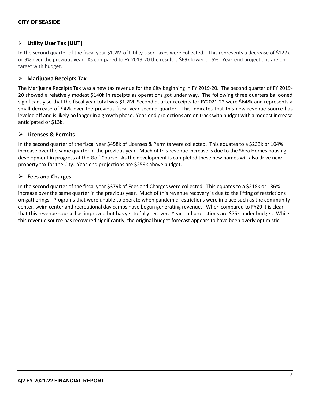#### **Utility User Tax (UUT)**

In the second quarter of the fiscal year \$1.2M of Utility User Taxes were collected. This represents a decrease of \$127k or 9% over the previous year. As compared to FY 2019-20 the result is \$69k lower or 5%. Year-end projections are on target with budget.

#### **Marijuana Receipts Tax**

The Marijuana Receipts Tax was a new tax revenue for the City beginning in FY 2019-20. The second quarter of FY 2019- 20 showed a relatively modest \$140k in receipts as operations got under way. The following three quarters ballooned significantly so that the fiscal year total was \$1.2M. Second quarter receipts for FY2021-22 were \$648k and represents a small decrease of \$42k over the previous fiscal year second quarter. This indicates that this new revenue source has leveled off and is likely no longer in a growth phase. Year-end projections are on track with budget with a modest increase anticipated or \$13k.

#### **Licenses & Permits**

In the second quarter of the fiscal year \$458k of Licenses & Permits were collected. This equates to a \$233k or 104% increase over the same quarter in the previous year. Much of this revenue increase is due to the Shea Homes housing development in progress at the Golf Course. As the development is completed these new homes will also drive new property tax for the City. Year-end projections are \$259k above budget.

#### **Fees and Charges**

In the second quarter of the fiscal year \$379k of Fees and Charges were collected. This equates to a \$218k or 136% increase over the same quarter in the previous year. Much of this revenue recovery is due to the lifting of restrictions on gatherings. Programs that were unable to operate when pandemic restrictions were in place such as the community center, swim center and recreational day camps have begun generating revenue. When compared to FY20 it is clear that this revenue source has improved but has yet to fully recover. Year-end projections are \$75k under budget. While this revenue source has recovered significantly, the original budget forecast appears to have been overly optimistic.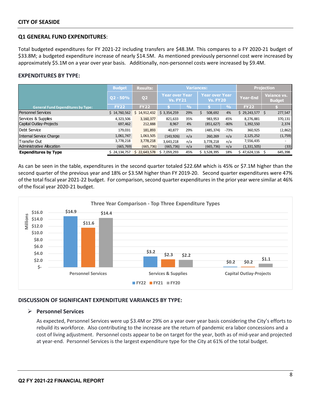#### **Q1 GENERAL FUND EXPENDITURES**:

Total budgeted expenditures for FY 2021-22 including transfers are \$48.3M. This compares to a FY 2020-21 budget of \$33.8M; a budgeted expenditure increase of nearly \$14.5M. As mentioned previously personnel cost were increased by approximately \$5.1M on a year over year basis. Additionally, non-personnel costs were increased by \$9.4M.

#### **EXPENDITURES BY TYPE:**

|                                           | <b>Budget</b><br><b>Variances:</b><br><b>Results:</b> |                  |                                   | <b>Projection</b> |             |                  |                                          |               |                 |                                     |
|-------------------------------------------|-------------------------------------------------------|------------------|-----------------------------------|-------------------|-------------|------------------|------------------------------------------|---------------|-----------------|-------------------------------------|
|                                           | $ Q2 - 50\% $                                         | Q <sub>2</sub>   | Year over Year<br><b>Vs. FY21</b> |                   |             |                  | <b>Year over Year</b><br><b>Vs. FY20</b> |               | <b>Year-End</b> | <b>Vaiance vs.</b><br><b>Budget</b> |
| <b>General Fund Expenditures by Type:</b> | <b>FY22</b>                                           | <b>FY22</b>      |                                   | $\frac{0}{0}$     |             | $\overline{Q_0}$ | <b>FY22</b>                              |               |                 |                                     |
| <b>Personnel Services</b>                 | \$14,760,562                                          | 14,912,432<br>S. | \$3,354,259                       | 29%               | 508,692     | 4%               | \$29,243,577                             | 277,547<br>\$ |                 |                                     |
| Services & Supplies                       | 4,323,506                                             | 3,160,377        | 821,633                           | 35%               | 983,953     | 45%              | 8,276,881                                | 370,131       |                 |                                     |
| Capital Outlay-Projects                   | 697,462                                               | 212,888          | 8,967                             | 4%                | (851, 627)  | $-80%$           | 1,392,550                                | 2,374         |                 |                                     |
| Debt Service                              | 179,031                                               | 181,893          | 40,877                            | 29%               | (485, 374)  | -73%             | 360,925                                  | (2,862)       |                 |                                     |
| Internal Service Charge                   | 1,061,747                                             | 1,063,505        | (143, 926)                        | n/a               | 260,269     | n/a              | 2,125,252                                | (1,759)       |                 |                                     |
| lTransfer Out                             | 3,778,218                                             | 3,778,218        | 3,643,218                         | n/a               | 3,778,218   | n/a              | 7,556,435                                |               |                 |                                     |
| Administrative Allocation                 | (665, 769)                                            | (665, 736)       | (665, 736)                        | n/a               | (665, 736)  | n/a              | (1,331,505)                              | (33)          |                 |                                     |
| <b>Expenditures by Type</b>               | \$24,134,757                                          | \$22,643,578     | \$7,059,293                       | 45%               | \$3,528,395 | 18%              | \$47,624,116                             | 645,398       |                 |                                     |

As can be seen in the table, expenditures in the second quarter totaled \$22.6M which is 45% or \$7.1M higher than the second quarter of the previous year and 18% or \$3.5M higher than FY 2019-20. Second quarter expenditures were 47% of the total fiscal year 2021-22 budget. For comparison, second quarter expenditures in the prior year were similar at 46% of the fiscal year 2020-21 budget.



#### **DISCUSSION OF SIGNIFICANT EXPENDITURE VARIANCES BY TYPE:**

#### **Personnel Services**

As expected, Personnel Services were up \$3.4M or 29% on a year over year basis considering the City's efforts to rebuild its workforce. Also contributing to the increase are the return of pandemic era labor concessions and a cost of living adjustment. Personnel costs appear to be on target for the year, both as of mid-year and projected at year-end. Personnel Services is the largest expenditure type for the City at 61% of the total budget.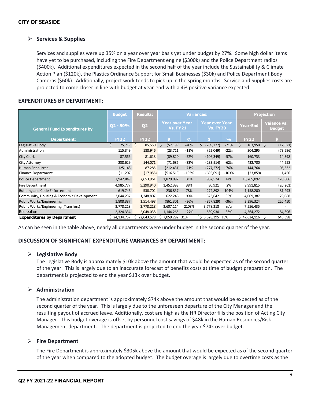#### **Services & Supplies**

Services and supplies were up 35% on a year over year basis yet under budget by 27%. Some high dollar items have yet to be purchased, including the Fire Department engine (\$300k) and the Police Department radios (\$400k). Additional expenditures expected in the second half of the year include the Sustainability & Climate Action Plan (\$120k), the Plastics Ordinance Support for Small Businesses (\$30k) and Police Department Body Cameras (\$60k). Additionally, project work tends to pick up in the spring months. Service and Supplies costs are projected to come closer in line with budget at year-end with a 4% positive variance expected.

#### **EXPENDITURES BY DEPARTMENT:**

|                                           | <b>Budget</b> | <b>Results:</b>  | <b>Variances:</b>                 |               |                                          |               | <b>Projection</b> |                              |
|-------------------------------------------|---------------|------------------|-----------------------------------|---------------|------------------------------------------|---------------|-------------------|------------------------------|
| <b>General Fund Expenditures by</b>       | $Q2 - 50%$    | Q <sub>2</sub>   | Year over Year<br><b>Vs. FY21</b> |               | <b>Year over Year</b><br><b>Vs. FY20</b> |               | <b>Year-End</b>   | Vaiance vs.<br><b>Budget</b> |
| <b>Department:</b>                        | <b>FY22</b>   | <b>FY22</b>      |                                   | $\frac{0}{0}$ |                                          | $\frac{0}{0}$ | <b>FY22</b>       |                              |
| Legislative Body                          | Ś<br>75,719   | 5<br>85,550      | \$<br>(57, 199)                   | $-40%$        | (209, 227)                               | $-71%$        | Ś<br>163,958      | \$<br>(12, 521)              |
| <b>Administration</b>                     | 115,349       | 188,946          | (23, 711)                         | $-11%$        | (52,049)                                 | $-22%$        | 304,295           | (73, 596)                    |
| <b>City Clerk</b>                         | 87,566        | 81,618           | (89, 820)                         | $-52%$        | (106, 349)                               | $-57%$        | 160,733           | 14,398                       |
| City Attorney                             | 238,629       | 144,071          | (71, 686)                         | $-33%$        | (233, 914)                               | $-62%$        | 432,700           | 44,558                       |
| Human Resources                           | 125,148       | 87,285           | (212, 431)                        | $-71%$        | (277, 272)                               | $-76%$        | 144,764           | 105,532                      |
| Finance Department                        | (11, 202)     | (17,055)         | (516, 513)                        | $-103%$       | (695,091)                                | $-103%$       | (23, 859)         | 1,456                        |
| Police Department                         | 7,942,849     | 7,653,961        | 1,829,092                         | 31%           | 962,524                                  | 14%           | 15,765,092        | 120,606                      |
| Fire Department                           | 4,985,777     | 5,290,940        | 1,452,398                         | 38%           | 80,921                                   | 2%            | 9,991,815         | (20, 261)                    |
| Building and Code Enforcement             | 619,746       | 538,702          | 236,837                           | 78%           | 274,892                                  | 104%          | 1,158,200         | 81,293                       |
| Community, Housing & Economic Development | 2,044,237     | 1,248,807        | 622,248                           | 99%           | 323,642                                  | 35%           | 4,009,387         | 79,088                       |
| Public Works/Engineering                  | 1,808,387     | 1,514,498        | (861, 301)                        | $-36%$        | (857, 829)                               | $-36%$        | 3,396,324         | 220,450                      |
| Public Works/Engineering (Transfers)      | 3,778,218     | 3,778,218        | 3,607,114                         | 2108%         | 3,778,218                                | n/a           | 7,556,435         |                              |
| Recreation                                | 2,324,334     | 2,048,038        | 1,144,265                         | 127%          | 539,930                                  | 36%           | 4,564,272         | 84,396                       |
| <b>Expenditures by Department</b>         | \$24,134,757  | 22,643,578<br>Ś. | \$7,059,292 31%                   |               | $$3,528,395$ 18%                         |               | \$47,624,116      | \$<br>645,398                |

As can be seen in the table above, nearly all departments were under budget in the second quarter of the year.

#### **DISCUSSION OF SIGNIFICANT EXPENDITURE VARIANCES BY DEPARTMENT:**

#### **Legislative Body**

The Legislative Body is approximately \$10k above the amount that would be expected as of the second quarter of the year. This is largely due to an inaccurate forecast of benefits costs at time of budget preparation. The department is projected to end the year \$13k over budget.

#### **Administration**

The administration department is approximately \$74k above the amount that would be expected as of the second quarter of the year. This is largely due to the unforeseen departure of the City Manager and the resulting payout of accrued leave. Additionally, cost are high as the HR Director fills the position of Acting City Manager. This budget overage is offset by personnel cost savings of \$48k in the Human Resources/Risk Management department. The department is projected to end the year \$74k over budget.

#### **Fire Department**

The Fire Department is approximately \$305k above the amount that would be expected as of the second quarter of the year when compared to the adopted budget. The budget overage is largely due to overtime costs as the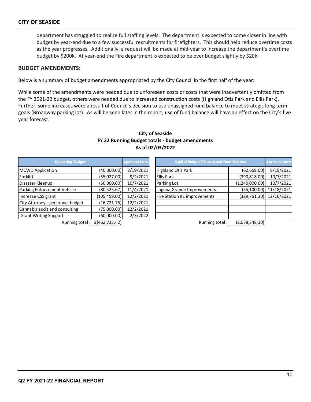department has struggled to realize full staffing levels. The department is expected to come closer in line with budget by year-end due to a few successful recruitments for firefighters. This should help reduce overtime costs as the year progresses. Additionally, a request will be made at mid-year to increase the department's overtime budget by \$200k. At year-end the Fire department is expected to be over budget slightly by \$20k.

#### **BUDGET AMENDMENTS:**

Below is a summary of budget amendments appropriated by the City Council in the first half of the year:

While some of the amendments were needed due to unforeseen costs or costs that were inadvertently omitted from the FY 2021-22 budget, others were needed due to increased construction costs (Highland Otis Park and Ellis Park). Further, some increases were a result of Council's decision to use unassigned fund balance to meet strategic long term goals (Broadway parking lot). As will be seen later in the report, use of fund balance will have an effect on the City's five year forecast.

| <b>Operating Budget</b>          |                  | <b>Aprroval Date</b> |  | <b>Capital Budget/Unassigned Fund Balance</b> | <b>Aprroval Date</b> |            |
|----------------------------------|------------------|----------------------|--|-----------------------------------------------|----------------------|------------|
| <b>MCWD Application</b>          | (40,000.00)      | 8/19/2021            |  | <b>Highland Otis Park</b>                     | (62,669.00)          | 8/19/2021  |
| Forklift                         | (35,027.00)      | 9/2/2021             |  | <b>Ellis Park</b>                             | (390, 818.00)        | 10/7/2021  |
| Disaster Kleenup                 | (50,000.00)      | 10/7/2021            |  | Parking Lot                                   | (1,240,000.00)       | 10/7/2021  |
| Parking Enforcement Vehicle      | (80,525.67)      | 11/4/2021            |  | Laguna Grande Improvements                    | (55, 100.00)         | 11/18/2021 |
| Increase CSS grant               | (105, 459.00)    | 12/2/2021            |  | Fire Station #1 improvements                  | (329, 761.30)        | 12/16/2021 |
| City Attorney - personnel budget | (16, 721.75)     | 12/2/2021            |  |                                               |                      |            |
| Cannabis audit and consulting    | (75,000.00)      | 12/2/2021            |  |                                               |                      |            |
| <b>Grant Writing Support</b>     | (60,000.00)      | 2/3/2022             |  |                                               |                      |            |
| Running total:                   | \$ (462, 733.42) |                      |  | Running total:                                | (2,078,348.30)       |            |

#### **City of Seaside FY 22 Running Budget totals - budget amendments As of 02/03/2022**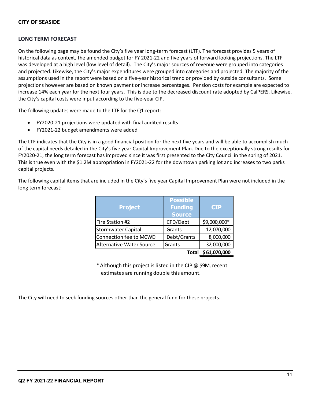#### **LONG TERM FORECAST**

On the following page may be found the City's five year long-term forecast (LTF). The forecast provides 5 years of historical data as context, the amended budget for FY 2021-22 and five years of forward looking projections. The LTF was developed at a high level (low level of detail). The City's major sources of revenue were grouped into categories and projected. Likewise, the City's major expenditures were grouped into categories and projected. The majority of the assumptions used in the report were based on a five-year historical trend or provided by outside consultants. Some projections however are based on known payment or increase percentages. Pension costs for example are expected to increase 14% each year for the next four years. This is due to the decreased discount rate adopted by CalPERS. Likewise, the City's capital costs were input according to the five-year CIP.

The following updates were made to the LTF for the Q1 report:

- FY2020-21 projections were updated with final audited results
- FY2021-22 budget amendments were added

The LTF indicates that the City is in a good financial position for the next five years and will be able to accomplish much of the capital needs detailed in the City's five year Capital Improvement Plan. Due to the exceptionally strong results for FY2020-21, the long term forecast has improved since it was first presented to the City Council in the spring of 2021. This is true even with the \$1.2M appropriation in FY2021-22 for the downtown parking lot and increases to two parks capital projects.

The following capital items that are included in the City's five year Capital Improvement Plan were not included in the long term forecast:

| <b>Project</b>            | <b>Possible</b><br><b>Funding</b><br><b>Source</b> | <b>CIP</b>   |
|---------------------------|----------------------------------------------------|--------------|
| Fire Station #2           | CFD/Debt                                           | \$9,000,000* |
| <b>Stormwater Capital</b> | Grants                                             | 12,070,000   |
| Connection fee to MCWD    | Debt/Grants                                        | 8,000,000    |
| Alternative Water Source  | Grants                                             | 32,000,000   |
|                           | Total                                              | \$61,070,000 |

\* Although this project is listed in the CIP @ \$9M, recent estimates are running double this amount.

The City will need to seek funding sources other than the general fund for these projects.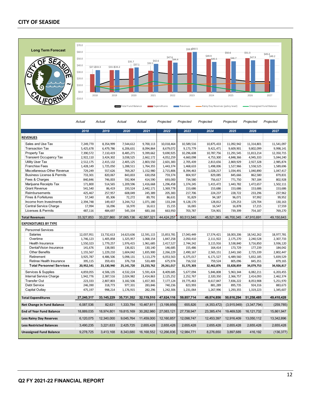#### **CITY OF SEASIDE**



**Less Rainy Day Reserves** 6,120,075 12,340,000 9,045,764 11,459,000 12,160,857 12,098,747 12,453,397 12,916,409 13,050,112 13,342,896 **Less Restricted Balances** 3,490,235 3,221,633 2,425,725 2,655,428 2,655,428 2,655,428 2,655,428 2,655,428 2,655,428 2,655,428 **Unassigned Fund Balance** 9,278,725 3,413,168 8,343,680 16,168,552 12,266,836 12,984,771 8,276,650 3,897,689 416,192 (136,377)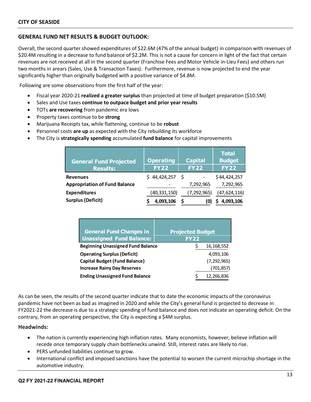#### **GENERAL FUND NET RESULTS & BUDGET OUTLOOK:**

Overall, the second quarter showed expenditures of \$22.6M (47% of the annual budget) in comparison with revenues of \$20.4M resulting in a decrease to fund balance of \$2.2M. This is not a cause for concern in light of the fact that certain revenues are not received at all in the second quarter (Franchise Fees and Motor Vehicle in-Lieu Fees) and others run two months in arears (Sales, Use & Transaction Taxes). Furthermore, revenue is now projected to end the year significantly higher than originally budgeted with a positive variance of \$4.8M.

Following are some observations from the first half of the year:

- Fiscal year 2020-21 **realized a greater surplus** than projected at time of budget preparation (\$10.5M)
- Sales and Use taxes **continue to outpace budget and prior year results**
- TOTs **are recovering** from pandemic era lows
- Property taxes continue to be **strong**
- Marijuana Receipts tax, while flattening, continue to be **robust**
- Personnel costs **are up** as expected with the City rebuilding its workforce
- The City is **strategically spending** accumulated **fund balance** for capital improvements

| <b>General Fund Projected</b><br><b>Results:</b> | <b>Operating</b><br><b>FY22</b> | <b>Capital</b><br><b>FY22</b> | <b>Total</b><br><b>Budget</b><br><b>FY22</b> |
|--------------------------------------------------|---------------------------------|-------------------------------|----------------------------------------------|
| <b>Revenues</b>                                  | \$44,424,257                    | - S                           | \$44,424,257                                 |
| <b>Appropriation of Fund Balance</b>             |                                 | 7,292,965                     | 7,292,965                                    |
| <b>Expenditures</b>                              | (40, 331, 150)                  | (7, 292, 965)                 | (47, 624, 116)                               |
| <b>Surplus (Deficit)</b>                         | 4,093,106                       | S<br>(0                       | 4,093,106                                    |

| <b>General Fund Changes in</b>           | <b>Projected Budget</b> |
|------------------------------------------|-------------------------|
| <b>Unassigned Fund Balance:</b>          | <b>FY22</b>             |
| <b>Beginning Unassigned Fund Balance</b> | 16, 168, 552            |
| <b>Operating Surplus (Deficit)</b>       | 4,093,106               |
| <b>Capital Budget (Fund Balance)</b>     | (7, 292, 965)           |
| <b>Increase Rainy Day Reserves</b>       | (701, 857)              |
| <b>Ending Unassigned Fund Balance</b>    | 12,266,836              |

As can be seen, the results of the second quarter indicate that to date the economic impacts of the coronavirus pandemic have not been as bad as imagined in 2020 and while the City's general fund is projected to decrease in FY2021-22 the decrease is due to a strategic spending of fund balance and does not indicate an operating deficit. On the contrary, from an operating perspective, the City is expecting a \$4M surplus.

#### **Headwinds:**

- The nation is currently experiencing high inflation rates. Many economists, however, believe inflation will recede once temporary supply chain bottlenecks unwind. Still, interest rates are likely to rise.
- PERS unfunded liabilities continue to grow.
- International conflict and imposed sanctions have the potential to worsen the current microchip shortage in the automotive industry.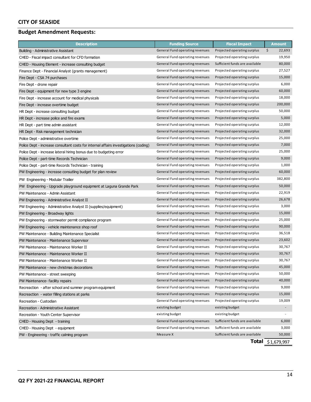#### **CITY OF SEASIDE**

### **Budget Amendment Requests:**

| <b>Description</b>                                                                   | <b>Funding Source</b>           | <b>Fiscal Impact</b>           | <b>Amount</b> |
|--------------------------------------------------------------------------------------|---------------------------------|--------------------------------|---------------|
| Building - Administrative Assistant                                                  | General Fund operating revenues | Projected operating surplus    | \$<br>22,693  |
| CHED - Fiscal impact consultant for CFD formation                                    | General Fund operating revenues | Projected operating surplus    | 19,950        |
| CHED - Housing Element - increase consulting budget                                  | General Fund operating revenues | Sufficient funds are available | 80,000        |
| Finance Dept - Financial Analyst (grants management)                                 | General Fund operating revenues | Projected operating surplus    | 27,527        |
| Fire Dept - CSA 74 purchases                                                         | General Fund operating revenues | Projected operating surplus    | 15,000        |
| Fire Dept - drone repair                                                             | General Fund operating revenues | Projected operating surplus    | 6,000         |
| Fire Dept - equipment for new type 3 engine                                          | General Fund operating revenues | Projected operating surplus    | 60,000        |
| Fire Dept - increase account for medical physicals                                   | General Fund operating revenues | Projected operating surplus    | 18,000        |
| Fire Dept - increase overtime budget                                                 | General Fund operating revenues | Projected operating surplus    | 200,000       |
| HR Dept - increase consulting budget                                                 | General Fund operating revenues | Projected operating surplus    | 50,000        |
| HR Dept - increase police and fire exams                                             | General Fund operating revenues | Projected operating surplus    | 5,000         |
| HR Dept - part time admin assistant                                                  | General Fund operating revenues | Projected operating surplus    | 12,000        |
| HR Dept - Risk management technician                                                 | General Fund operating revenues | Projected operating surplus    | 32,000        |
| Police Dept - administrative overtime                                                | General Fund operating revenues | Projected operating surplus    | 25,000        |
| Police Dept - increase consultant costs for internal affairs investigations (coding) | General Fund operating revenues | Projected operating surplus    | 7,000         |
| Police Dept - increase lateral hiring bonus due to budgeting error                   | General Fund operating revenues | Projected operating surplus    | 25,000        |
| Police Dept - part-time Records Technician                                           | General Fund operating revenues | Projected operating surplus    | 9,000         |
| Police Dept - part-time Records Technician - training                                | General Fund operating revenues | Projected operating surplus    | 1,000         |
| PW Engineering - increase consutling budget for plan review                          | General Fund operating revenues | Projected operating surplus    | 60,000        |
| PW Engineering - Modular Trailier                                                    | General Fund operating revenues | Projected operating surplus    | 382,800       |
| PW Engineering - Upgrade playground equipment at Laguna Grande Park                  | General Fund operating revenues | Projected operating surplus    | 50,000        |
| PW Maintenance - Admin Assistant                                                     | General Fund operating revenues | Projected operating surplus    | 22,919        |
| PW Engineering - Administrative Analyst II                                           | General Fund operating revenues | Projected operating surplus    | 26,678        |
| PW Engineering - Administrative Analyst II (supplies/equipment)                      | General Fund operating revenues | Projected operating surplus    | 3,000         |
| PW Engineering - Broadway lights                                                     | General Fund operating revenues | Projected operating surplus    | 15,000        |
| PW Engineering - stormwater permit compliance program                                | General Fund operating revenues | Projected operating surplus    | 25,000        |
| PW Engineering - vehicle maintenance shop roof                                       | General Fund operating revenues | Projected operating surplus    | 90,000        |
| PW Maintenance - Building Maintenance Specialist                                     | General Fund operating revenues | Projected operating surplus    | 36,518        |
| PW Maintenance - Maintenance Supervisor                                              | General Fund operating revenues | Projected operating surplus    | 23,602        |
| PW Maintenance - Maintenance Worker II                                               | General Fund operating revenues | Projected operating surplus    | 30,767        |
| PW Maintenance - Maintenance Worker II                                               | General Fund operating revenues | Projected operating surplus    | 30,767        |
| PW Maintenance - Maintenance Worker II                                               | General Fund operating revenues | Projected operating surplus    | 30,767        |
| PW Maintenance - new christmas decorations                                           | General Fund operating revenues | Projected operating surplus    | 45,000        |
| PW Maintenance - street sweeping                                                     | General Fund operating revenues | Projected operating surplus    | 50,000        |
| PW Maintenance- facility repairs                                                     | General Fund operating revenues | Projected operating surplus    | 40,000        |
| Recreaction - after school and summer program equipment                              | General Fund operating revenues | Projected operating surplus    | 9,000         |
| Recreaction - water filling stations at parks                                        | General Fund operating revenues | Projected operating surplus    | 15,000        |
| Recreation - Custodian                                                               | General Fund operating revenues | Projected operating surplus    | 19,009        |
| Recreation - Administrative Assistant                                                | existing budget                 | existing budget                | $\sim$        |
| Recreation - Youth Center Supervisor                                                 | existing budget                 | existing budget                | $\sim$        |
| CHED - Housing Dept - training                                                       | General Fund operating revenues | Sufficient funds are available | 6,000         |
| CHED - Housing Dept - equipment                                                      | General Fund operating revenues | Sufficient funds are available | 3,000         |
| PW - Engineering - traffic calming program                                           | Measure X                       | Sufficient funds are available | 50,000        |

**Total** \$1,679,997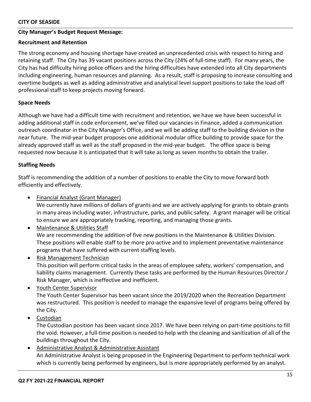#### **CITY OF SEASIDE**

#### **City Manager's Budget Request Message:**

#### **Recruitment and Retention**

The strong economy and housing shortage have created an unprecedented crisis with respect to hiring and retaining staff. The City has 39 vacant positions across the City (24% of full-time staff). For many years, the City has had difficulty hiring police officers and the hiring difficulties have extended into all City departments including engineering, human resources and planning. As a result, staff is proposing to increase consulting and overtime budgets as well as adding administrative and analytical level support positions to take the load off professional staff to keep projects moving forward.

#### **Space Needs**

Although we have had a difficult time with recruitment and retention, we have we have been successful in adding additional staff in code enforcement, we've filled our vacancies in Finance, added a communication outreach coordinator in the City Manager's Office, and we will be adding staff to the building division in the near future. The mid-year budget proposes one additional modular office building to provide space for the already approved staff as well as the staff proposed in the mid-year budget. The office space is being requested now because it is anticipated that it will take as long as seven months to obtain the trailer.

#### **Staffing Needs**

Staff is recommending the addition of a number of positions to enable the City to move forward both efficiently and effectively.

• Financial Analyst (Grant Manager)

We currently have millions of dollars of grants and we are actively applying for grants to obtain grants in many areas including water, infrastructure, parks, and public safety. A grant manager will be critical to ensure we are appropriately tracking, reporting, and managing those grants.

- Maintenance & Utilities Staff We are recommending the addition of five new positions in the Maintenance & Utilities Division. These positions will enable staff to be more pro-active and to implement preventative maintenance programs that have suffered with current staffing levels.
- Risk Management Technician

This position will perform critical tasks in the areas of employee safety, workers' compensation, and liability claims management. Currently these tasks are performed by the Human Resources Director / Risk Manager, which is ineffective and inefficient.

• Youth Center Supervisor

The Youth Center Supervisor has been vacant since the 2019/2020 when the Recreation Department was restructured. This position is needed to manage the expansive level of programs being offered by the City.

• Custodian

The Custodian position has been vacant since 2017. We have been relying on part-time positions to fill the void. However, a full-time position is needed to help with the cleaning and sanitization of all of the buildings throughout the City.

• Administrative Analyst & Administrative Assistant An Administrative Analyst is being proposed in the Engineering Department to perform technical work which is currently being performed by engineers, but is more appropriately performed by an analyst.